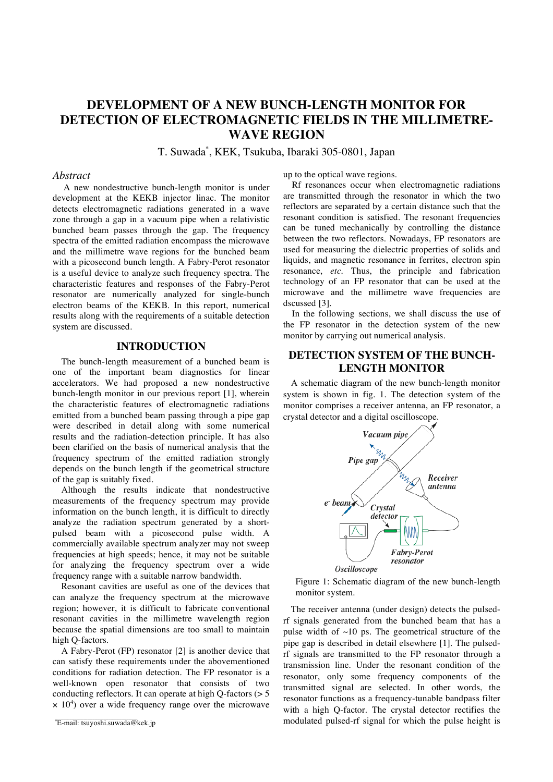# **DEVELOPMENT OF A NEW BUNCH-LENGTH MONITOR FOR DETECTION OF ELECTROMAGNETIC FIELDS IN THE MILLIMETRE-WAVE REGION**

T. Suwada\* , KEK, Tsukuba, Ibaraki 305-0801, Japan

### *Abstract*

A new nondestructive bunch-length monitor is under development at the KEKB injector linac. The monitor detects electromagnetic radiations generated in a wave zone through a gap in a vacuum pipe when a relativistic bunched beam passes through the gap. The frequency spectra of the emitted radiation encompass the microwave and the millimetre wave regions for the bunched beam with a picosecond bunch length. A Fabry-Perot resonator is a useful device to analyze such frequency spectra. The characteristic features and responses of the Fabry-Perot resonator are numerically analyzed for single-bunch electron beams of the KEKB. In this report, numerical results along with the requirements of a suitable detection system are discussed.

### **INTRODUCTION**

The bunch-length measurement of a bunched beam is one of the important beam diagnostics for linear accelerators. We had proposed a new nondestructive bunch-length monitor in our previous report [1], wherein the characteristic features of electromagnetic radiations emitted from a bunched beam passing through a pipe gap were described in detail along with some numerical results and the radiation-detection principle. It has also been clarified on the basis of numerical analysis that the frequency spectrum of the emitted radiation strongly depends on the bunch length if the geometrical structure of the gap is suitably fixed.

Although the results indicate that nondestructive measurements of the frequency spectrum may provide information on the bunch length, it is difficult to directly analyze the radiation spectrum generated by a shortpulsed beam with a picosecond pulse width. A commercially available spectrum analyzer may not sweep frequencies at high speeds; hence, it may not be suitable for analyzing the frequency spectrum over a wide frequency range with a suitable narrow bandwidth.

Resonant cavities are useful as one of the devices that can analyze the frequency spectrum at the microwave region; however, it is difficult to fabricate conventional resonant cavities in the millimetre wavelength region because the spatial dimensions are too small to maintain high Q-factors.

A Fabry-Perot (FP) resonator [2] is another device that can satisfy these requirements under the abovementioned conditions for radiation detection. The FP resonator is a well-known open resonator that consists of two conducting reflectors. It can operate at high Q-factors (> 5  $\times$  10<sup>4</sup>) over a wide frequency range over the microwave

up to the optical wave regions.

Rf resonances occur when electromagnetic radiations are transmitted through the resonator in which the two reflectors are separated by a certain distance such that the resonant condition is satisfied. The resonant frequencies can be tuned mechanically by controlling the distance between the two reflectors. Nowadays, FP resonators are used for measuring the dielectric properties of solids and liquids, and magnetic resonance in ferrites, electron spin resonance, *etc*. Thus, the principle and fabrication technology of an FP resonator that can be used at the microwave and the millimetre wave frequencies are dscussed [3].

In the following sections, we shall discuss the use of the FP resonator in the detection system of the new monitor by carrying out numerical analysis.

### **DETECTION SYSTEM OF THE BUNCH-LENGTH MONITOR**

A schematic diagram of the new bunch-length monitor system is shown in fig. 1. The detection system of the monitor comprises a receiver antenna, an FP resonator, a crystal detector and a digital oscilloscope.



Figure 1: Schematic diagram of the new bunch-length monitor system.

The receiver antenna (under design) detects the pulsedrf signals generated from the bunched beam that has a pulse width of  $~10$  ps. The geometrical structure of the pipe gap is described in detail elsewhere [1]. The pulsedrf signals are transmitted to the FP resonator through a transmission line. Under the resonant condition of the resonator, only some frequency components of the transmitted signal are selected. In other words, the resonator functions as a frequency-tunable bandpass filter with a high Q-factor. The crystal detector rectifies the modulated pulsed-rf signal for which the pulse height is

E-mail: tsuyoshi.suwada@kek.jp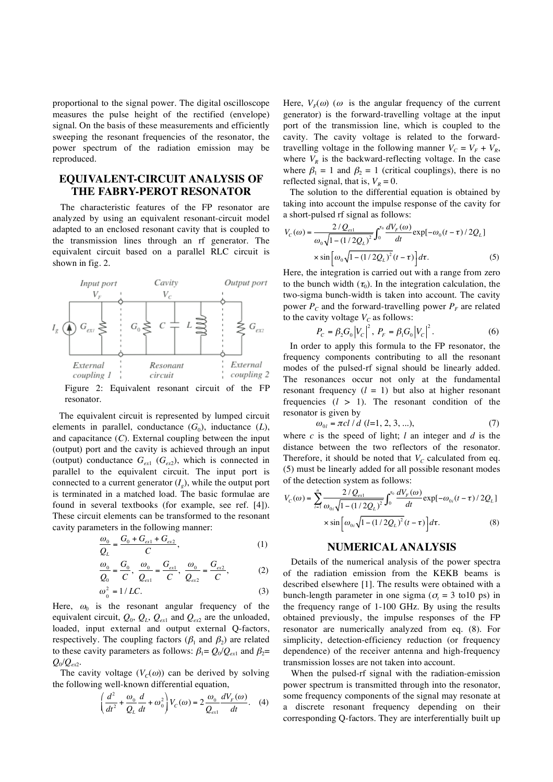proportional to the signal power. The digital oscilloscope measures the pulse height of the rectified (envelope) signal. On the basis of these measurements and efficiently sweeping the resonant frequencies of the resonator, the power spectrum of the radiation emission may be reproduced.

## **EQUIVALENT-CIRCUIT ANALYSIS OF THE FABRY-PEROT RESONATOR**

The characteristic features of the FP resonator are analyzed by using an equivalent resonant-circuit model adapted to an enclosed resonant cavity that is coupled to the transmission lines through an rf generator. The equivalent circuit based on a parallel RLC circuit is shown in fig. 2.



Figure 2: Equivalent resonant circuit of the FP resonator.

The equivalent circuit is represented by lumped circuit elements in parallel, conductance  $(G_0)$ , inductance  $(L)$ , and capacitance (*C*). External coupling between the input (output) port and the cavity is achieved through an input (output) conductance  $G_{ext}$  ( $G_{ext}$ ), which is connected in parallel to the equivalent circuit. The input port is connected to a current generator  $(I_{q})$ , while the output port is terminated in a matched load. The basic formulae are found in several textbooks (for example, see ref. [4]). These circuit elements can be transformed to the resonant cavity parameters in the following manner:

$$
\frac{\omega_0}{Q_L} = \frac{G_0 + G_{ex1} + G_{ex2}}{C},\tag{1}
$$

$$
\frac{\omega_0}{Q_0} = \frac{G_0}{C}, \quad \frac{\omega_0}{Q_{\text{ext}}} = \frac{G_{\text{ext}}}{C}, \quad \frac{\omega_0}{Q_{\text{ext}}} = \frac{G_{\text{ext}}}{C}, \tag{2}
$$

$$
\omega_o^2 = 1/LC.
$$

Here,  $\omega_0$  is the resonant angular frequency of the equivalent circuit,  $Q_0$ ,  $Q_L$ ,  $Q_{ext}$  and  $Q_{ext}$  are the unloaded, loaded, input external and output external Q-factors, respectively. The coupling factors ( $\beta_1$  and  $\beta_2$ ) are related to these cavity parameters as follows:  $\beta_1 = Q_0/Q_{ext}$  and  $\beta_2 =$ *Q*0/*Qex*2.

The cavity voltage  $(V_c(\omega))$  can be derived by solving the following well-known differential equation,

$$
\left(\frac{d^2}{dt^2} + \frac{\omega_0}{Q_L}\frac{d}{dt} + \omega_0^2\right) V_C(\omega) = 2\frac{\omega_0}{Q_{\text{ext}}} \frac{dV_F(\omega)}{dt}.
$$
 (4)

generator) is the forward-travelling voltage at the input port of the transmission line, which is coupled to the cavity. The cavity voltage is related to the forwardtravelling voltage in the following manner  $V_c = V_F + V_R$ , where  $V_R$  is the backward-reflecting voltage. In the case where  $\beta_1 = 1$  and  $\beta_2 = 1$  (critical couplings), there is no reflected signal, that is,  $V_R = 0$ .

The solution to the differential equation is obtained by taking into account the impulse response of the cavity for a short-pulsed rf signal as follows:

$$
V_C(\omega) = \frac{2/Q_{\text{ext}}}{\omega_0 \sqrt{1 - (1/2Q_L)^2}} \int_0^{\tau_0} \frac{dV_F(\omega)}{dt} \exp[-\omega_0(t - \tau)/2Q_L] \times \sin[\omega_0 \sqrt{1 - (1/2Q_L)^2}(t - \tau)] d\tau.
$$
 (5)

Here, the integration is carried out with a range from zero to the bunch width  $(\tau_0)$ . In the integration calculation, the two-sigma bunch-width is taken into account. The cavity power  $P_c$  and the forward-travelling power  $P_F$  are related to the cavity voltage  $V_C$  as follows:

$$
P_C = \beta_2 G_0 |V_C|^2, P_F = \beta_1 G_0 |V_C|^2.
$$
 (6)

In order to apply this formula to the FP resonator, the frequency components contributing to all the resonant modes of the pulsed-rf signal should be linearly added. The resonances occur not only at the fundamental resonant frequency  $(l = 1)$  but also at higher resonant frequencies  $(l > 1)$ . The resonant condition of the resonator is given by

$$
\omega_{0l} = \pi c l / d \ (l=1, 2, 3, \ldots), \tag{7}
$$

where *c* is the speed of light; *l* an integer and *d* is the distance between the two reflectors of the resonator. Therefore, it should be noted that  $V_C$  calculated from eq. (5) must be linearly added for all possible resonant modes of the detection system as follows:

$$
V_C(\omega) = \sum_{i=1}^{n} \frac{2/Q_{\text{ext}}}{\omega_{0i}\sqrt{1 - (1/2Q_L)^2}} \int_0^{\tau_0} \frac{dV_F(\omega)}{dt} \exp[-\omega_{0i}(t-\tau)/2Q_L] \times \sin[\omega_{0i}\sqrt{1 - (1/2Q_L)^2}(t-\tau)]d\tau.
$$
 (8)

### **NUMERICAL ANALYSIS**

scenario, *VF(ω*) (ω is the angular frequency of the current  $V_r - V_r$  with the transmission line, which is coupled to the through part of the transmission line, which is coupled to the transmission line of the transmissio Details of the numerical analysis of the power spectra of the radiation emission from the KEKB beams is described elsewhere [1]. The results were obtained with a bunch-length parameter in one sigma ( $\sigma_t$  = 3 to 10 ps) in the frequency range of 1-100 GHz. By using the results obtained previously, the impulse responses of the FP resonator are numerically analyzed from eq. (8). For simplicity, detection-efficiency reduction (or frequency dependence) of the receiver antenna and high-frequency transmission losses are not taken into account.

When the pulsed-rf signal with the radiation-emission power spectrum is transmitted through into the resonator, some frequency components of the signal may resonate at a discrete resonant frequency depending on their corresponding Q-factors. They are interferentially built up